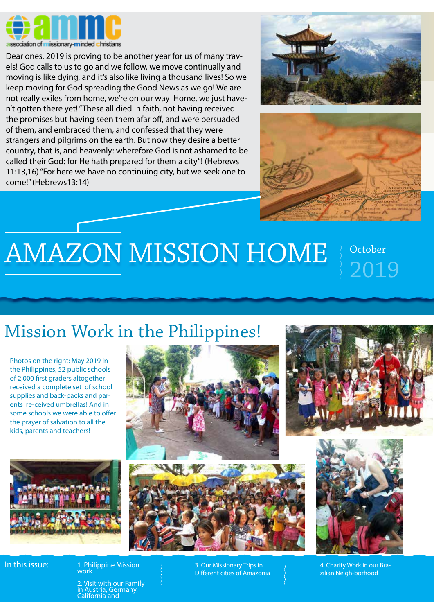

Dear ones, 2019 is proving to be another year for us of many travels! God calls to us to go and we follow, we move continually and moving is like dying, and it's also like living a thousand lives! So we keep moving for God spreading the Good News as we go! We are not really exiles from home, we're on our way Home, we just haven't gotten there yet! "These all died in faith, not having received the promises but having seen them afar off, and were persuaded of them, and embraced them, and confessed that they were strangers and pilgrims on the earth. But now they desire a better country, that is, and heavenly: wherefore God is not ashamed to be called their God: for He hath prepared for them a city"! (Hebrews 11:13,16) "For here we have no continuing city, but we seek one to come!" (Hebrews13:14)





## AMAZON MISSION HOME

2019

## Mission Work in the Philippines!

Photos on the right: May 2019 in the Philippines, 52 public schools of 2,000 first graders altogether received a complete set of school supplies and back-packs and parents re-ceived umbrellas! And in some schools we were able to offer the prayer of salvation to all the kids, parents and teachers!













zilian Neigh-borhood

2. Visit with our Family in Austria, Germany, California and

1. Philippine Mission

work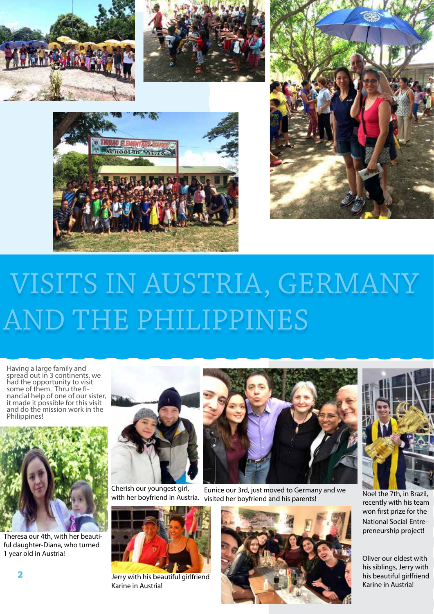







## VISITS IN AUSTRIA, GERMANY AND THE PHILIPPINES

Having a large family and spread out in 3 continents, we had the opportunity to visit some of them. Thru the financial help of one of our sister, it made it possible for this visit and do the mission work in the Philippines!



Theresa our 4th, with her beautiful daughter-Diana, who turned 1 year old in Austria!



Cherish our youngest girl, with her boyfriend in Austria.



Jerry with his beautiful girlfriend Karine in Austria!



Eunice our 3rd, just moved to Germany and we visited her boyfriend and his parents!





Noel the 7th, in Brazil, recently with his team won first prize for the National Social Entrepreneurship project!

Oliver our eldest with his siblings, Jerry with his beautiful girlfriend Karine in Austria!

**2**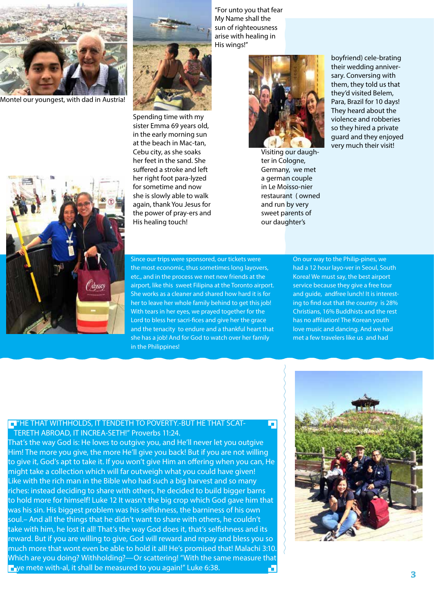

Montel our youngest, with dad in Austria!





Spending time with my sister Emma 69 years old, in the early morning sun at the beach in Mac-tan, Cebu city, as she soaks her feet in the sand. She suffered a stroke and left her right foot para-lyzed for sometime and now she is slowly able to walk again, thank You Jesus for the power of pray-ers and His healing touch!

"For unto you that fear My Name shall the sun of righteousness arise with healing in His wings!"



Visiting our daughter in Cologne, Germany, we met a german couple in Le Moisso-nier restaurant ( owned and run by very sweet parents of our daughter's

T

boyfriend) cele-brating their wedding anniversary. Conversing with them, they told us that they'd visited Belem, Para, Brazil for 10 days! They heard about the violence and robberies so they hired a private guard and they enjoyed very much their visit!

Since our trips were sponsored, our tickets were the most economic, thus sometimes long layovers, etc., and in the process we met new friends at the airport, like this sweet Filipina at the Toronto airport. She works as a cleaner and shared how hard it is for her to leave her whole family behind to get this job! With tears in her eyes, we prayed together for the Lord to bless her sacri-fices and give her the grace and the tenacity to endure and a thankful heart that she has a job! And for God to watch over her family in the Philippines!

On our way to the Philip-pines, we had a 12 hour layo-ver in Seoul, South Korea! We must say, the best airport service because they give a free tour and guide, andfree lunch! It is interesting to find out that the country is 28% Christians, 16% Buddhists and the rest has no affiliation! The Korean youth love music and dancing. And we had met a few travelers like us and had

## **EL "HE THAT WITHHOLDS, IT TENDETH TO POVERTY.-BUT HE THAT SCAT-**TERETH ABROAD, IT INCREA-SETH!" Proverbs 11:24.

That's the way God is: He loves to outgive you, and He'll never let you outgive Him! The more you give, the more He'll give you back! But if you are not willing to give it, God's apt to take it. If you won't give Him an offering when you can, He might take a collection which will far outweigh what you could have given! Like with the rich man in the Bible who had such a big harvest and so many riches: instead deciding to share with others, he decided to build bigger barns to hold more for himself! Luke 12 It wasn't the big crop which God gave him that was his sin. His biggest problem was his selfishness, the barniness of his own soul.– And all the things that he didn't want to share with others, he couldn't take with him, he lost it all! That's the way God does it, that's selfishness and its reward. But if you are willing to give, God will reward and repay and bless you so much more that wont even be able to hold it all! He's promised that! Malachi 3:10. Which are you doing? Withholding?—Or scattering! "With the same measure that  $\blacksquare$  ye mete with-al, it shall be measured to you again!" Luke 6:38. Æ

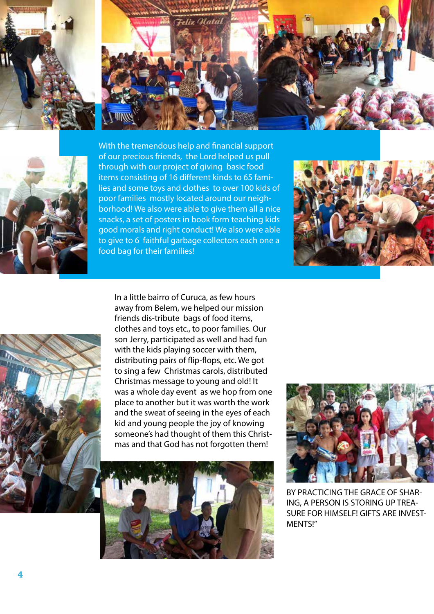





With the tremendous help and financial support of our precious friends, the Lord helped us pull through with our project of giving basic food items consisting of 16 different kinds to 65 families and some toys and clothes to over 100 kids of poor families mostly located around our neighborhood! We also were able to give them all a nice snacks, a set of posters in book form teaching kids good morals and right conduct! We also were able to give to 6 faithful garbage collectors each one a food bag for their families!





In a little bairro of Curuca, as few hours away from Belem, we helped our mission friends dis-tribute bags of food items, clothes and toys etc., to poor families. Our son Jerry, participated as well and had fun with the kids playing soccer with them, distributing pairs of flip-flops, etc. We got to sing a few Christmas carols, distributed Christmas message to young and old! It was a whole day event as we hop from one place to another but it was worth the work and the sweat of seeing in the eyes of each kid and young people the joy of knowing someone's had thought of them this Christmas and that God has not forgotten them!





BY PRACTICING THE GRACE OF SHAR-ING, A PERSON IS STORING UP TREA-SURE FOR HIMSELF! GIFTS ARE INVEST-MENTS!"